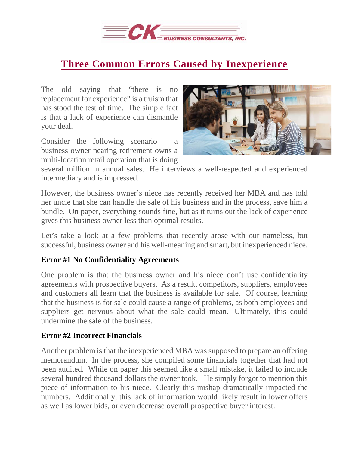

## **Three Common Errors Caused by [Inexperience](https://deal-studio.com/three-common-errors-caused-inexperience/)**

The old saying that "there is no replacement for experience" is a truism that has stood the test of time. The simple fact is that a lack of experience can dismantle your deal.

Consider the following scenario – a business owner nearing retirement owns a multi-location retail operation that is doing



several million in annual sales. He interviews a well-respected and experienced intermediary and is impressed.

However, the business owner's niece has recently received her MBA and has told her uncle that she can handle the sale of his business and in the process, save him a bundle. On paper, everything sounds fine, but as it turns out the lack of experience gives this business owner less than optimal results.

Let's take a look at a few problems that recently arose with our nameless, but successful, business owner and his well-meaning and smart, but inexperienced niece.

## **Error #1 No Confidentiality Agreements**

One problem is that the business owner and his niece don't use confidentiality agreements with prospective buyers. As a result, competitors, suppliers, employees and customers all learn that the business is available for sale. Of course, learning that the business is for sale could cause a range of problems, as both employees and suppliers get nervous about what the sale could mean. Ultimately, this could undermine the sale of the business.

## **Error #2 Incorrect Financials**

Another problem is that the inexperienced MBA was supposed to prepare an offering memorandum. In the process, she compiled some financials together that had not been audited. While on paper this seemed like a small mistake, it failed to include several hundred thousand dollars the owner took. He simply forgot to mention this piece of information to his niece. Clearly this mishap dramatically impacted the numbers. Additionally, this lack of information would likely result in lower offers as well as lower bids, or even decrease overall prospective buyer interest.